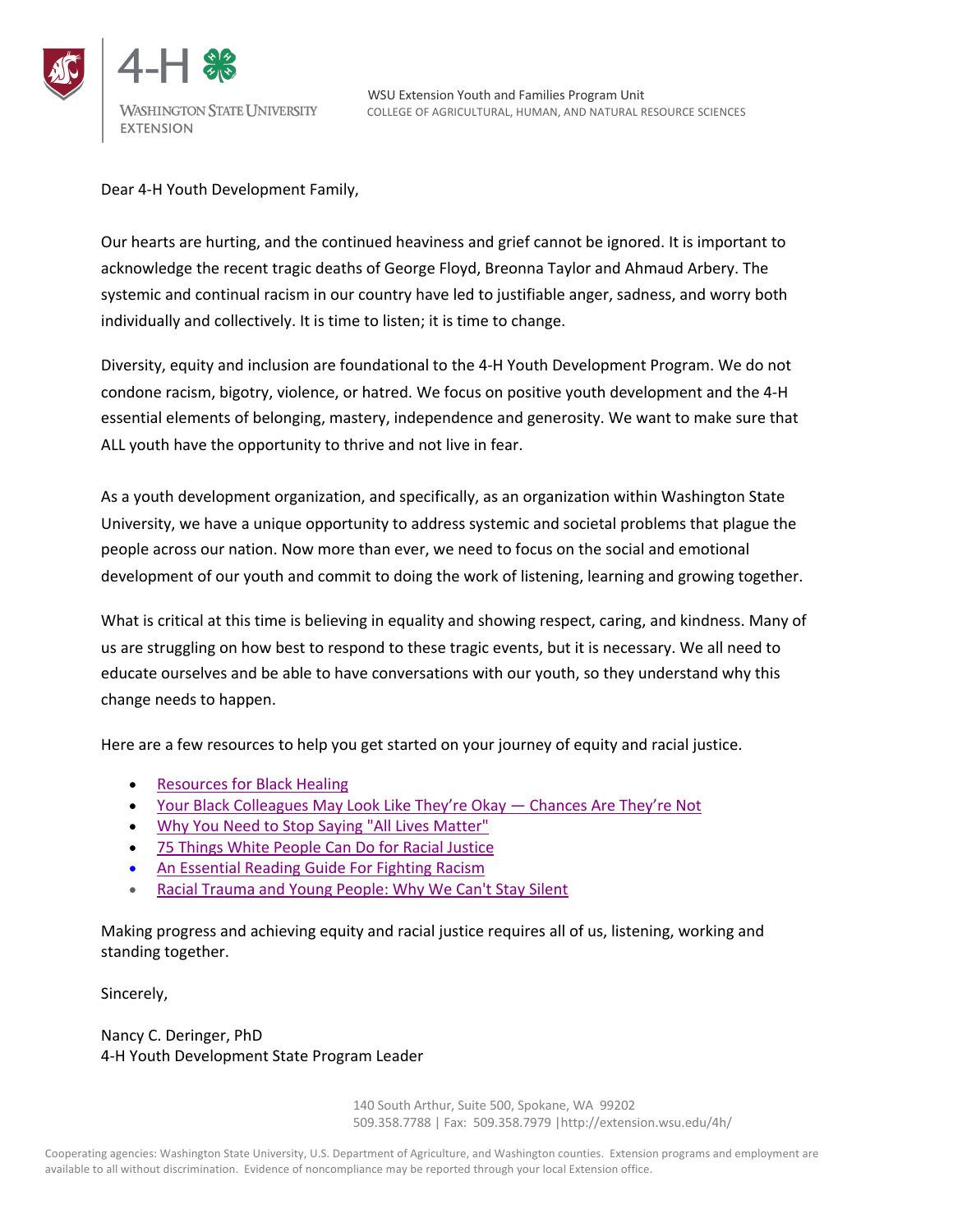



Dear 4-H Youth Development Family,

Our hearts are hurting, and the continued heaviness and grief cannot be ignored. It is important to acknowledge the recent tragic deaths of George Floyd, Breonna Taylor and Ahmaud Arbery. The systemic and continual racism in our country have led to justifiable anger, sadness, and worry both individually and collectively. It is time to listen; it is time to change.

Diversity, equity and inclusion are foundational to the 4-H Youth Development Program. We do not condone racism, bigotry, violence, or hatred. We focus on positive youth development and the 4-H essential elements of belonging, mastery, independence and generosity. We want to make sure that ALL youth have the opportunity to thrive and not live in fear.

As a youth development organization, and specifically, as an organization within Washington State University, we have a unique opportunity to address systemic and societal problems that plague the people across our nation. Now more than ever, we need to focus on the social and emotional development of our youth and commit to doing the work of listening, learning and growing together.

What is critical at this time is believing in equality and showing respect, caring, and kindness. Many of us are struggling on how best to respond to these tragic events, but it is necessary. We all need to educate ourselves and be able to have conversations with our youth, so they understand why this change needs to happen.

Here are a few resources to help you get started on your journey of equity and racial justice.

- Resources for Black Healing
- Your Black Colleagues May Look Like They're Okay Chances Are They're Not
- Why You Need to Stop Saying "All Lives Matter"
- 75 Things White People Can Do for Racial Justice
- An Essential Reading Guide For Fighting Racism
- Racial Trauma and Young People: Why We Can't Stay Silent

Making progress and achieving equity and racial justice requires all of us, listening, working and standing together.

Sincerely,

Nancy C. Deringer, PhD 4-H Youth Development State Program Leader

> 140 South Arthur, Suite 500, Spokane, WA 99202 509.358.7788 | Fax: 509.358.7979 |http://extension.wsu.edu/4h/